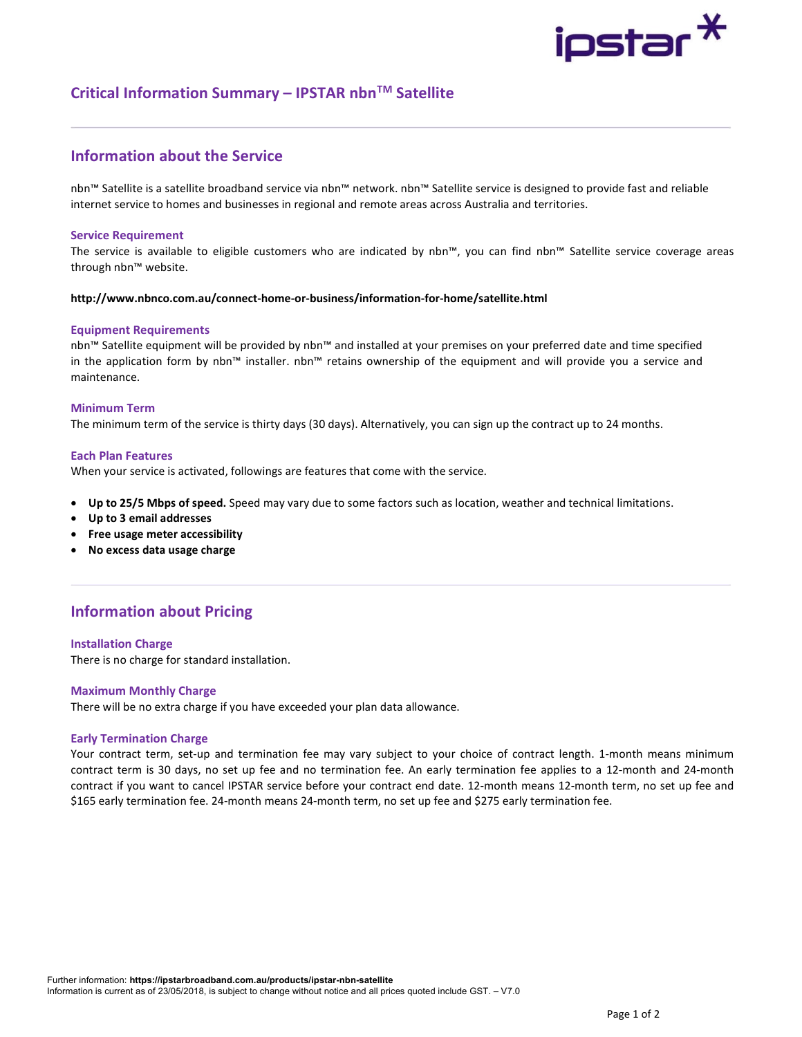# ipstar $^{\textstyle{*}}$

# Critical Information Summary – IPSTAR nbn<sup>TM</sup> Satellite

# Information about the Service

nbn™ Satellite is a satellite broadband service via nbn™ network. nbn™ Satellite service is designed to provide fast and reliable internet service to homes and businesses in regional and remote areas across Australia and territories.

# Service Requirement

The service is available to eligible customers who are indicated by nbn™, you can find nbn™ Satellite service coverage areas through nbn™ website.

# http://www.nbnco.com.au/connect-home-or-business/information-for-home/satellite.html

# Equipment Requirements

nbn™ Satellite equipment will be provided by nbn™ and installed at your premises on your preferred date and time specified in the application form by nbn™ installer. nbn™ retains ownership of the equipment and will provide you a service and maintenance.

# Minimum Term

The minimum term of the service is thirty days (30 days). Alternatively, you can sign up the contract up to 24 months.

# Each Plan Features

When your service is activated, followings are features that come with the service.

- Up to 25/5 Mbps of speed. Speed may vary due to some factors such as location, weather and technical limitations.
- Up to 3 email addresses
- Free usage meter accessibility
- No excess data usage charge

# Information about Pricing

# Installation Charge

There is no charge for standard installation.

# Maximum Monthly Charge

There will be no extra charge if you have exceeded your plan data allowance.

### Early Termination Charge

Your contract term, set-up and termination fee may vary subject to your choice of contract length. 1-month means minimum contract term is 30 days, no set up fee and no termination fee. An early termination fee applies to a 12-month and 24-month contract if you want to cancel IPSTAR service before your contract end date. 12-month means 12-month term, no set up fee and \$165 early termination fee. 24-month means 24-month term, no set up fee and \$275 early termination fee.